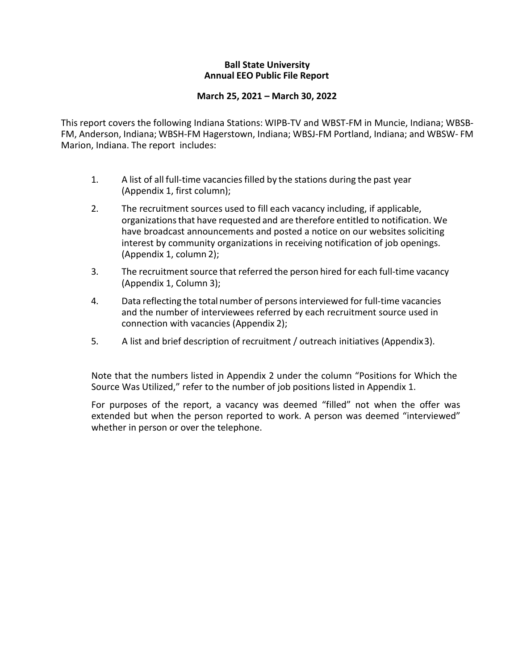### **Ball State University Annual EEO Public File Report**

### **March 25, 2021 – March 30, 2022**

This report covers the following Indiana Stations: WIPB-TV and WBST-FM in Muncie, Indiana; WBSB-FM, Anderson, Indiana; WBSH-FM Hagerstown, Indiana; WBSJ-FM Portland, Indiana; and WBSW- FM Marion, Indiana. The report includes:

- 1. A list of all full-time vacanciesfilled by the stations during the past year (Appendix 1, first column);
- 2. The recruitment sources used to fill each vacancy including, if applicable, organizationsthat have requested and are therefore entitled to notification. We have broadcast announcements and posted a notice on our websites soliciting interest by community organizations in receiving notification of job openings. (Appendix 1, column 2);
- 3. The recruitment source that referred the person hired for each full-time vacancy (Appendix 1, Column 3);
- 4. Data reflecting the total number of persons interviewed for full-time vacancies and the number of interviewees referred by each recruitment source used in connection with vacancies (Appendix 2);
- 5. A list and brief description of recruitment / outreach initiatives (Appendix3).

Note that the numbers listed in Appendix 2 under the column "Positions for Which the Source Was Utilized," refer to the number of job positions listed in Appendix 1.

For purposes of the report, a vacancy was deemed "filled" not when the offer was extended but when the person reported to work. A person was deemed "interviewed" whether in person or over the telephone.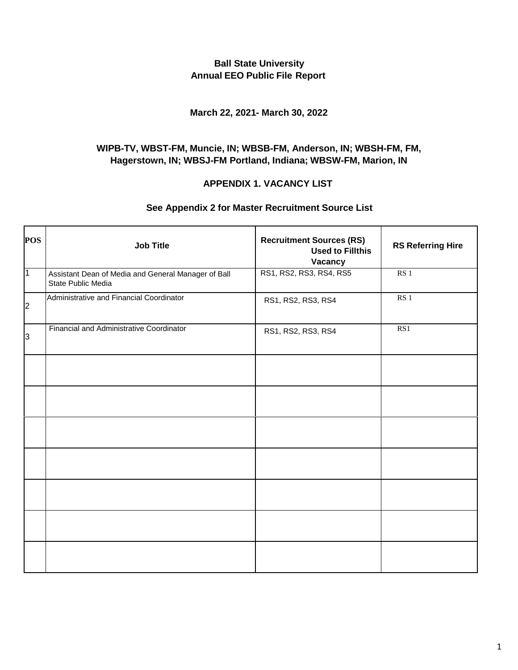## **Ball State University Annual EEO Public File Report**

### **March 22, 2021- March 30, 2022**

# **WIPB-TV, WBST-FM, Muncie, IN; WBSB-FM, Anderson, IN; WBSH-FM, FM, Hagerstown, IN; WBSJ-FM Portland, Indiana; WBSW-FM, Marion, IN**

#### **APPENDIX 1. VACANCY LIST**

## **See Appendix 2 for Master Recruitment Source List**

| <b>POS</b>     | <b>Job Title</b>                                                          | <b>Recruitment Sources (RS)</b><br><b>Used to Fillthis</b><br>Vacancy | <b>RS Referring Hire</b> |
|----------------|---------------------------------------------------------------------------|-----------------------------------------------------------------------|--------------------------|
| $\overline{1}$ | Assistant Dean of Media and General Manager of Ball<br>State Public Media | RS1, RS2, RS3, RS4, RS5                                               | RS <sub>1</sub>          |
| $\overline{2}$ | Administrative and Financial Coordinator                                  | RS1, RS2, RS3, RS4                                                    | RS1                      |
| 3              | Financial and Administrative Coordinator                                  | RS1, RS2, RS3, RS4                                                    | RS1                      |
|                |                                                                           |                                                                       |                          |
|                |                                                                           |                                                                       |                          |
|                |                                                                           |                                                                       |                          |
|                |                                                                           |                                                                       |                          |
|                |                                                                           |                                                                       |                          |
|                |                                                                           |                                                                       |                          |
|                |                                                                           |                                                                       |                          |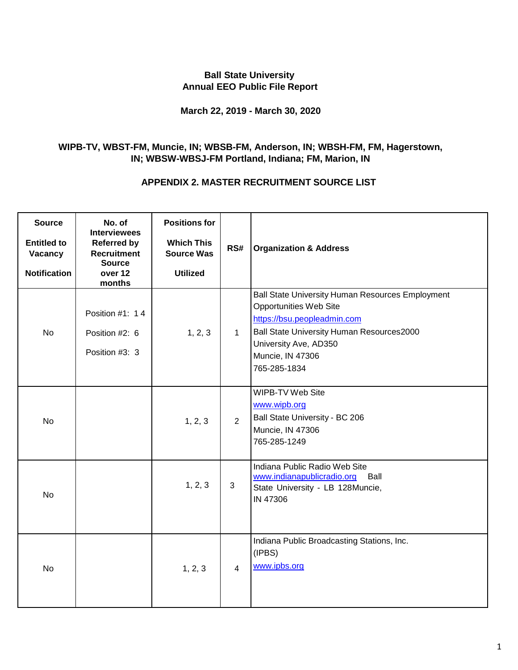# **Ball State University Annual EEO Public File Report**

## **March 22, 2019 - March 30, 2020**

# **WIPB-TV, WBST-FM, Muncie, IN; WBSB-FM, Anderson, IN; WBSH-FM, FM, Hagerstown, IN; WBSW-WBSJ-FM Portland, Indiana; FM, Marion, IN**

## **APPENDIX 2. MASTER RECRUITMENT SOURCE LIST**

| <b>Source</b><br><b>Entitled to</b><br>Vacancy<br><b>Notification</b> | No. of<br><b>Interviewees</b><br><b>Referred by</b><br><b>Recruitment</b><br><b>Source</b><br>over 12<br>months | <b>Positions for</b><br><b>Which This</b><br><b>Source Was</b><br><b>Utilized</b> | RS#            | <b>Organization &amp; Address</b>                                                                                                                                                                                          |
|-----------------------------------------------------------------------|-----------------------------------------------------------------------------------------------------------------|-----------------------------------------------------------------------------------|----------------|----------------------------------------------------------------------------------------------------------------------------------------------------------------------------------------------------------------------------|
| <b>No</b>                                                             | Position #1: 14<br>Position #2: 6<br>Position #3: 3                                                             | 1, 2, 3                                                                           | $\mathbf{1}$   | Ball State University Human Resources Employment<br><b>Opportunities Web Site</b><br>https://bsu.peopleadmin.com<br>Ball State University Human Resources2000<br>University Ave, AD350<br>Muncie, IN 47306<br>765-285-1834 |
| <b>No</b>                                                             |                                                                                                                 | 1, 2, 3                                                                           | $\overline{2}$ | WIPB-TV Web Site<br>www.wipb.org<br>Ball State University - BC 206<br>Muncie, IN 47306<br>765-285-1249                                                                                                                     |
| <b>No</b>                                                             |                                                                                                                 | 1, 2, 3                                                                           | 3              | Indiana Public Radio Web Site<br>www.indianapublicradio.org Ball<br>State University - LB 128Muncie,<br>IN 47306                                                                                                           |
| <b>No</b>                                                             |                                                                                                                 | 1, 2, 3                                                                           | $\overline{4}$ | Indiana Public Broadcasting Stations, Inc.<br>(IPBS)<br>www.ipbs.org                                                                                                                                                       |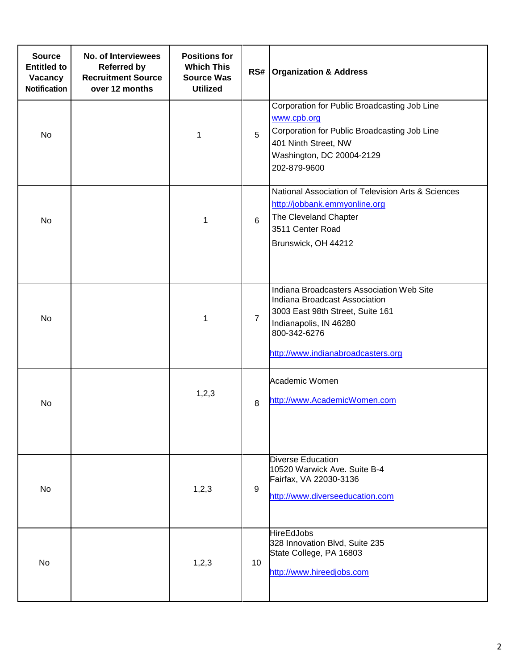| <b>Source</b><br><b>Entitled to</b><br>Vacancy<br><b>Notification</b> | No. of Interviewees<br><b>Referred by</b><br><b>Recruitment Source</b><br>over 12 months | <b>Positions for</b><br><b>Which This</b><br><b>Source Was</b><br><b>Utilized</b> | RS#            | <b>Organization &amp; Address</b>                                                                                                                                                              |
|-----------------------------------------------------------------------|------------------------------------------------------------------------------------------|-----------------------------------------------------------------------------------|----------------|------------------------------------------------------------------------------------------------------------------------------------------------------------------------------------------------|
| No                                                                    |                                                                                          | 1                                                                                 | 5              | Corporation for Public Broadcasting Job Line<br>www.cpb.org<br>Corporation for Public Broadcasting Job Line<br>401 Ninth Street, NW<br>Washington, DC 20004-2129<br>202-879-9600               |
| No                                                                    |                                                                                          | 1                                                                                 | 6              | National Association of Television Arts & Sciences<br>http://jobbank.emmyonline.org<br>The Cleveland Chapter<br>3511 Center Road<br>Brunswick, OH 44212                                        |
| <b>No</b>                                                             |                                                                                          | 1                                                                                 | $\overline{7}$ | Indiana Broadcasters Association Web Site<br>Indiana Broadcast Association<br>3003 East 98th Street, Suite 161<br>Indianapolis, IN 46280<br>800-342-6276<br>http://www.indianabroadcasters.org |
| No                                                                    |                                                                                          | 1,2,3                                                                             | 8              | Academic Women<br>http://www.AcademicWomen.com                                                                                                                                                 |
| No                                                                    |                                                                                          | 1,2,3                                                                             | 9              | <b>Diverse Education</b><br>10520 Warwick Ave. Suite B-4<br>Fairfax, VA 22030-3136<br>http://www.diverseeducation.com                                                                          |
| No                                                                    |                                                                                          | 1,2,3                                                                             | 10             | <b>HireEdJobs</b><br>328 Innovation Blvd, Suite 235<br>State College, PA 16803<br>http://www.hireedjobs.com                                                                                    |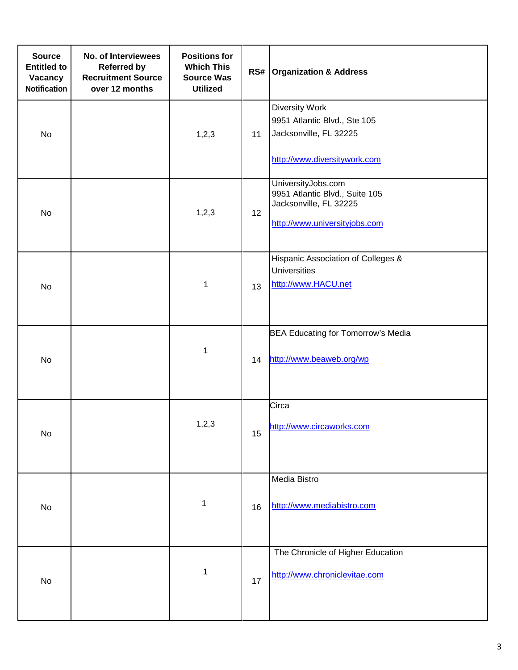| <b>Source</b><br><b>Entitled to</b><br>Vacancy<br><b>Notification</b> | No. of Interviewees<br><b>Referred by</b><br><b>Recruitment Source</b><br>over 12 months | <b>Positions for</b><br><b>Which This</b><br><b>Source Was</b><br><b>Utilized</b> | RS# | <b>Organization &amp; Address</b>                                                                               |
|-----------------------------------------------------------------------|------------------------------------------------------------------------------------------|-----------------------------------------------------------------------------------|-----|-----------------------------------------------------------------------------------------------------------------|
| No                                                                    |                                                                                          | 1, 2, 3                                                                           | 11  | <b>Diversity Work</b><br>9951 Atlantic Blvd., Ste 105<br>Jacksonville, FL 32225<br>http://www.diversitywork.com |
| No                                                                    |                                                                                          | 1,2,3                                                                             | 12  | UniversityJobs.com<br>9951 Atlantic Blvd., Suite 105<br>Jacksonville, FL 32225<br>http://www.universityjobs.com |
| No                                                                    |                                                                                          | 1                                                                                 | 13  | Hispanic Association of Colleges &<br><b>Universities</b><br>http://www.HACU.net                                |
| No                                                                    |                                                                                          | 1                                                                                 | 14  | BEA Educating for Tomorrow's Media<br>http://www.beaweb.org/wp                                                  |
| <b>No</b>                                                             |                                                                                          | 1, 2, 3                                                                           | 15  | Circa<br>http://www.circaworks.com                                                                              |
| No                                                                    |                                                                                          | $\mathbf{1}$                                                                      | 16  | Media Bistro<br>http://www.mediabistro.com                                                                      |
| No                                                                    |                                                                                          | 1                                                                                 | 17  | The Chronicle of Higher Education<br>http://www.chroniclevitae.com                                              |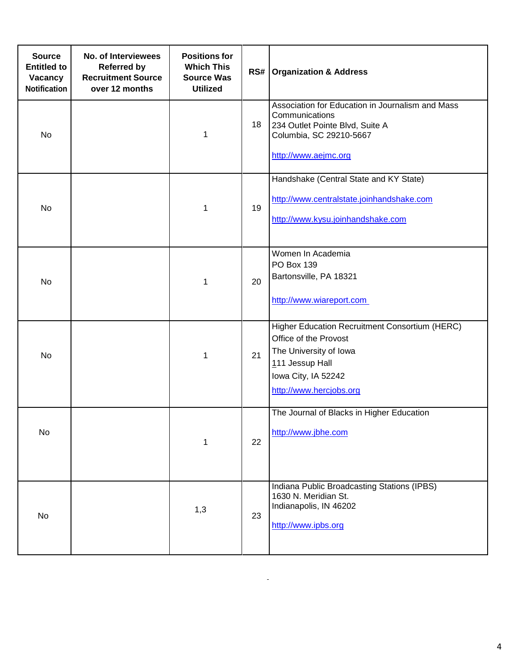| <b>Source</b><br><b>Entitled to</b><br>Vacancy<br><b>Notification</b> | No. of Interviewees<br><b>Referred by</b><br><b>Recruitment Source</b><br>over 12 months | <b>Positions for</b><br><b>Which This</b><br><b>Source Was</b><br><b>Utilized</b> | RS# | <b>Organization &amp; Address</b>                                                                                                                                      |
|-----------------------------------------------------------------------|------------------------------------------------------------------------------------------|-----------------------------------------------------------------------------------|-----|------------------------------------------------------------------------------------------------------------------------------------------------------------------------|
| No                                                                    |                                                                                          | 1                                                                                 | 18  | Association for Education in Journalism and Mass<br>Communications<br>234 Outlet Pointe Blvd, Suite A<br>Columbia, SC 29210-5667<br>http://www.aejmc.org               |
| No                                                                    |                                                                                          | 1                                                                                 | 19  | Handshake (Central State and KY State)<br>http://www.centralstate.joinhandshake.com<br>http://www.kysu.joinhandshake.com                                               |
| No                                                                    |                                                                                          | 1                                                                                 | 20  | Women In Academia<br>PO Box 139<br>Bartonsville, PA 18321<br>http://www.wiareport.com                                                                                  |
| No                                                                    |                                                                                          | 1                                                                                 | 21  | Higher Education Recruitment Consortium (HERC)<br>Office of the Provost<br>The University of Iowa<br>111 Jessup Hall<br>Iowa City, IA 52242<br>http://www.hercjobs.org |
| No                                                                    |                                                                                          | 1                                                                                 | 22  | The Journal of Blacks in Higher Education<br>http://www.jbhe.com                                                                                                       |
| No                                                                    |                                                                                          | 1,3                                                                               | 23  | Indiana Public Broadcasting Stations (IPBS)<br>1630 N. Meridian St.<br>Indianapolis, IN 46202<br>http://www.ipbs.org                                                   |

Ĭ.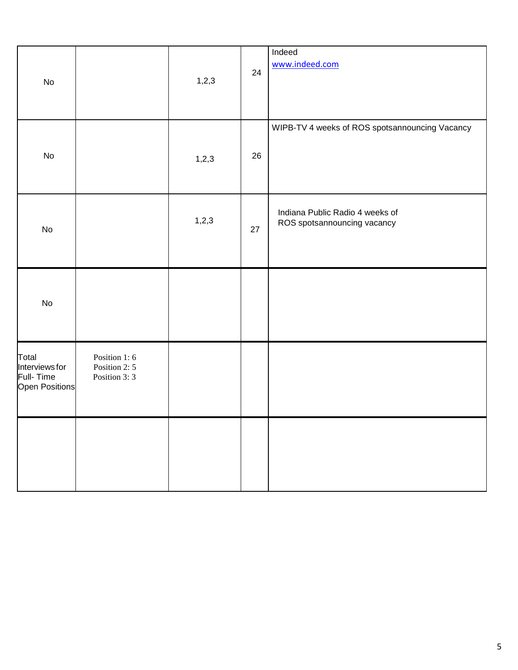| No                                                            |                                                | 1,2,3 | 24 | Indeed<br>www.indeed.com                                       |
|---------------------------------------------------------------|------------------------------------------------|-------|----|----------------------------------------------------------------|
| No                                                            |                                                | 1,2,3 | 26 | WIPB-TV 4 weeks of ROS spotsannouncing Vacancy                 |
| No                                                            |                                                | 1,2,3 | 27 | Indiana Public Radio 4 weeks of<br>ROS spotsannouncing vacancy |
| <b>No</b>                                                     |                                                |       |    |                                                                |
| Total<br>Interviews for<br>Full-Time<br><b>Open Positions</b> | Position 1:6<br>Position 2: 5<br>Position 3: 3 |       |    |                                                                |
|                                                               |                                                |       |    |                                                                |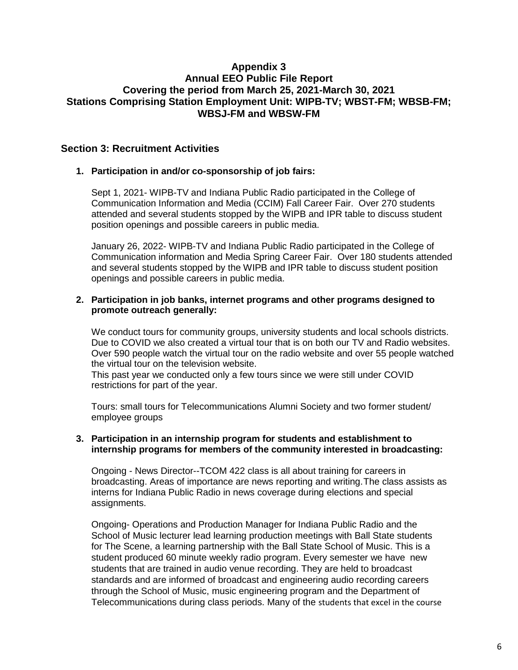## **Appendix 3 Annual EEO Public File Report Covering the period from March 25, 2021-March 30, 2021 Stations Comprising Station Employment Unit: WIPB-TV; WBST-FM; WBSB-FM; WBSJ-FM and WBSW-FM**

## **Section 3: Recruitment Activities**

#### **1. Participation in and/or co-sponsorship of job fairs:**

Sept 1, 2021- WIPB-TV and Indiana Public Radio participated in the College of Communication Information and Media (CCIM) Fall Career Fair. Over 270 students attended and several students stopped by the WIPB and IPR table to discuss student position openings and possible careers in public media.

January 26, 2022- WIPB-TV and Indiana Public Radio participated in the College of Communication information and Media Spring Career Fair. Over 180 students attended and several students stopped by the WIPB and IPR table to discuss student position openings and possible careers in public media.

#### **2. Participation in job banks, internet programs and other programs designed to promote outreach generally:**

We conduct tours for community groups, university students and local schools districts. Due to COVID we also created a virtual tour that is on both our TV and Radio websites. Over 590 people watch the virtual tour on the radio website and over 55 people watched the virtual tour on the television website.

This past year we conducted only a few tours since we were still under COVID restrictions for part of the year.

Tours: small tours for Telecommunications Alumni Society and two former student/ employee groups

#### **3. Participation in an internship program for students and establishment to internship programs for members of the community interested in broadcasting:**

Ongoing - News Director--TCOM 422 class is all about training for careers in broadcasting. Areas of importance are news reporting and writing.The class assists as interns for Indiana Public Radio in news coverage during elections and special assignments.

Ongoing- Operations and Production Manager for Indiana Public Radio and the School of Music lecturer lead learning production meetings with Ball State students for The Scene, a learning partnership with the Ball State School of Music. This is a student produced 60 minute weekly radio program. Every semester we have new students that are trained in audio venue recording. They are held to broadcast standards and are informed of broadcast and engineering audio recording careers through the School of Music, music engineering program and the Department of Telecommunications during class periods. Many of the students that excel in the course